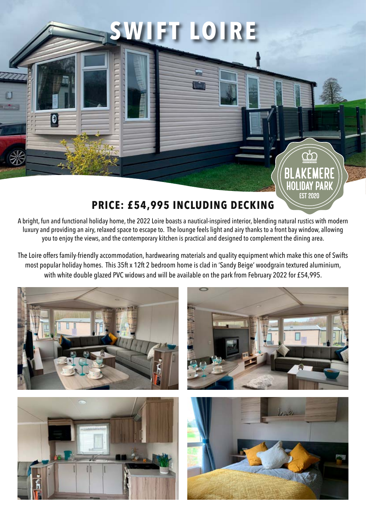

**SWIFT LOIRE**

A bright, fun and functional holiday home, the 2022 Loire boasts a nautical-inspired interior, blending natural rustics with modern luxury and providing an airy, relaxed space to escape to. The lounge feels light and airy thanks to a front bay window, allowing you to enjoy the views, and the contemporary kitchen is practical and designed to complement the dining area.

The Loire offers family-friendly accommodation, hardwearing materials and quality equipment which make this one of Swifts most popular holiday homes. This 35ft x 12ft 2 bedroom home is clad in 'Sandy Beige' woodgrain textured aluminium, with white double glazed PVC widows and will be available on the park from February 2022 for £54,995.